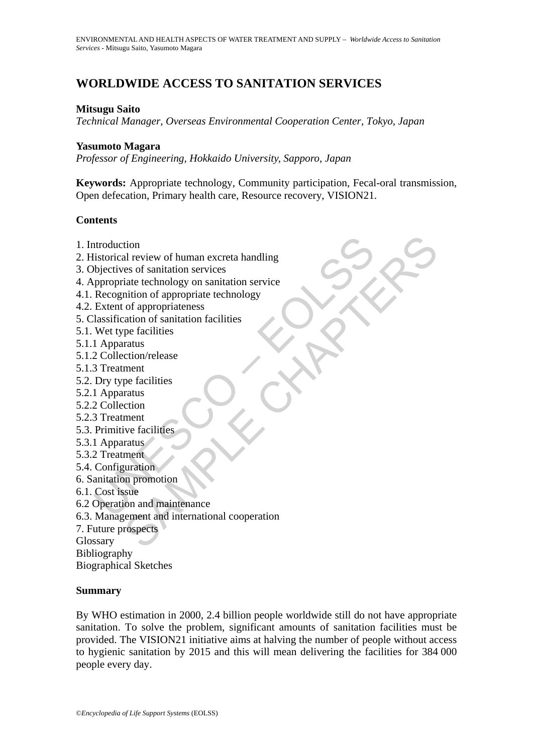# **WORLDWIDE ACCESS TO SANITATION SERVICES**

#### **Mitsugu Saito**

*Technical Manager, Overseas Environmental Cooperation Center, Tokyo, Japan* 

#### **Yasumoto Magara**

*Professor of Engineering, Hokkaido University, Sapporo, Japan* 

**Keywords:** Appropriate technology, Community participation, Fecal-oral transmission, Open defecation, Primary health care, Resource recovery, VISION21.

#### **Contents**

- 1. Introduction
- ntroduction<br>
distorical review of human excreta handling<br>
bijectives of sanitation services<br>
ppropriate technology on sanitation service<br>
Recognition of appropriate technology<br>
Extent of appropriate technology<br>
Extent of a 2. Historical review of human excreta handling
- 3. Objectives of sanitation services
- 4. Appropriate technology on sanitation service
- 4.1. Recognition of appropriate technology
- 4.2. Extent of appropriateness
- 5. Classification of sanitation facilities
- 5.1. Wet type facilities
- 5.1.1 Apparatus
- 5.1.2 Collection/release
- 5.1.3 Treatment
- 5.2. Dry type facilities
- 5.2.1 Apparatus
- 5.2.2 Collection
- 5.2.3 Treatment
- 5.3. Primitive facilities
- 5.3.1 Apparatus
- 5.3.2 Treatment
- 5.4. Configuration
- 6. Sanitation promotion
- 6.1. Cost issue
- 6.2 Operation and maintenance
- tion<br>al review of human excreta handling<br>tast of sanitation services<br>that technology on sanitation service<br>inition of appropriate technology<br>of appropriate technology<br>of appropriate technology<br>of appropriate technology<br>of 6.3. Management and international cooperation
- 7. Future prospects
- Glossary

Bibliography

Biographical Sketches

#### **Summary**

By WHO estimation in 2000, 2.4 billion people worldwide still do not have appropriate sanitation. To solve the problem, significant amounts of sanitation facilities must be provided. The VISION21 initiative aims at halving the number of people without access to hygienic sanitation by 2015 and this will mean delivering the facilities for 384 000 people every day.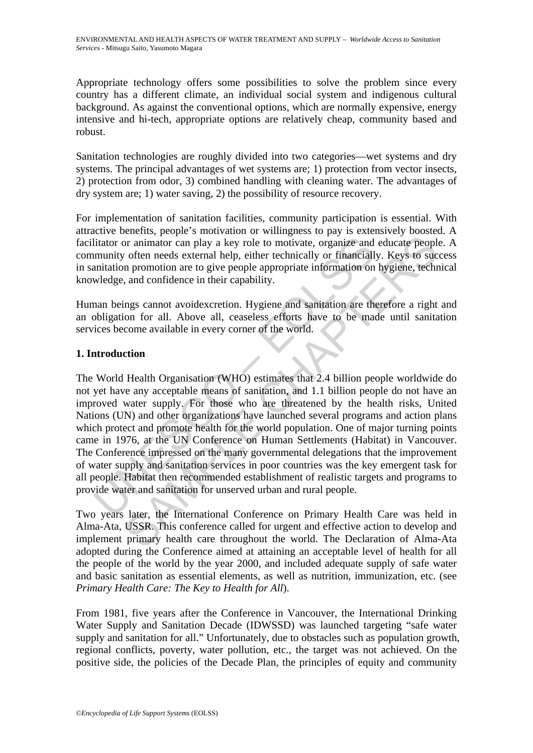Appropriate technology offers some possibilities to solve the problem since every country has a different climate, an individual social system and indigenous cultural background. As against the conventional options, which are normally expensive, energy intensive and hi-tech, appropriate options are relatively cheap, community based and robust.

Sanitation technologies are roughly divided into two categories—wet systems and dry systems. The principal advantages of wet systems are; 1) protection from vector insects, 2) protection from odor, 3) combined handling with cleaning water. The advantages of dry system are; 1) water saving, 2) the possibility of resource recovery.

For implementation of sanitation facilities, community participation is essential. With attractive benefits, people's motivation or willingness to pay is extensively boosted. A facilitator or animator can play a key role to motivate, organize and educate people. A community often needs external help, either technically or financially. Keys to success in sanitation promotion are to give people appropriate information on hygiene, technical knowledge, and confidence in their capability.

Human beings cannot avoidexcretion. Hygiene and sanitation are therefore a right and an obligation for all. Above all, ceaseless efforts have to be made until sanitation services become available in every corner of the world.

### **1. Introduction**

litator or animator can play a key role to motivate, organize and<br>munity often needs external help, either technically or financiall<br>anitation promotion are to give people appropriate information on<br>wledge, and confidence Translation can play a key role to motivate, organize and educate peoply often needs external help, either technically or financially. Keys to sue in promotion are to give people appropriate information on hygiene, technic The World Health Organisation (WHO) estimates that 2.4 billion people worldwide do not yet have any acceptable means of sanitation, and 1.1 billion people do not have an improved water supply. For those who are threatened by the health risks, United Nations (UN) and other organizations have launched several programs and action plans which protect and promote health for the world population. One of major turning points came in 1976, at the UN Conference on Human Settlements (Habitat) in Vancouver. The Conference impressed on the many governmental delegations that the improvement of water supply and sanitation services in poor countries was the key emergent task for all people. Habitat then recommended establishment of realistic targets and programs to provide water and sanitation for unserved urban and rural people.

Two years later, the International Conference on Primary Health Care was held in Alma-Ata, USSR. This conference called for urgent and effective action to develop and implement primary health care throughout the world. The Declaration of Alma-Ata adopted during the Conference aimed at attaining an acceptable level of health for all the people of the world by the year 2000, and included adequate supply of safe water and basic sanitation as essential elements, as well as nutrition, immunization, etc. (see *Primary Health Care: The Key to Health for All*).

From 1981, five years after the Conference in Vancouver, the International Drinking Water Supply and Sanitation Decade (IDWSSD) was launched targeting "safe water supply and sanitation for all." Unfortunately, due to obstacles such as population growth, regional conflicts, poverty, water pollution, etc., the target was not achieved. On the positive side, the policies of the Decade Plan, the principles of equity and community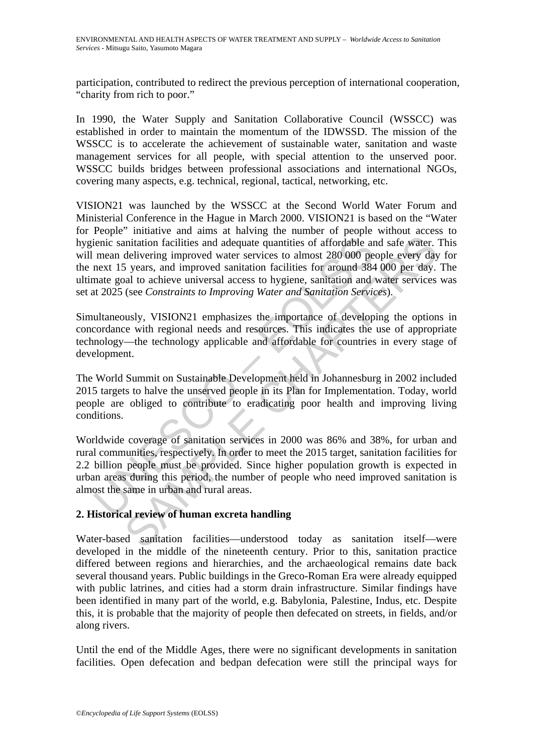participation, contributed to redirect the previous perception of international cooperation, "charity from rich to poor."

In 1990, the Water Supply and Sanitation Collaborative Council (WSSCC) was established in order to maintain the momentum of the IDWSSD. The mission of the WSSCC is to accelerate the achievement of sustainable water, sanitation and waste management services for all people, with special attention to the unserved poor. WSSCC builds bridges between professional associations and international NGOs, covering many aspects, e.g. technical, regional, tactical, networking, etc.

ienic sanitation facilities and adequate quantities of affordable ar<br>mean delivering improved water services to almost 280 000 pe<br>next 15 years, and improved sanitation facilities for around 384<br>nate goal to achieve univer antiation facilities and adequate quantities of affordable and safe water.<br>
delivering improved water services to almost 280 000 people every day<br>
sy exas, and improved santiation facilities for around 384 000 per day.<br>
Sy VISION21 was launched by the WSSCC at the Second World Water Forum and Ministerial Conference in the Hague in March 2000. VISION21 is based on the "Water for People" initiative and aims at halving the number of people without access to hygienic sanitation facilities and adequate quantities of affordable and safe water. This will mean delivering improved water services to almost 280 000 people every day for the next 15 years, and improved sanitation facilities for around 384 000 per day. The ultimate goal to achieve universal access to hygiene, sanitation and water services was set at 2025 (see *Constraints to Improving Water and Sanitation Services*).

Simultaneously, VISION21 emphasizes the importance of developing the options in concordance with regional needs and resources. This indicates the use of appropriate technology—the technology applicable and affordable for countries in every stage of development.

The World Summit on Sustainable Development held in Johannesburg in 2002 included 2015 targets to halve the unserved people in its Plan for Implementation. Today, world people are obliged to contribute to eradicating poor health and improving living conditions.

Worldwide coverage of sanitation services in 2000 was 86% and 38%, for urban and rural communities, respectively. In order to meet the 2015 target, sanitation facilities for 2.2 billion people must be provided. Since higher population growth is expected in urban areas during this period, the number of people who need improved sanitation is almost the same in urban and rural areas.

### **2. Historical review of human excreta handling**

Water-based sanitation facilities—understood today as sanitation itself—were developed in the middle of the nineteenth century. Prior to this, sanitation practice differed between regions and hierarchies, and the archaeological remains date back several thousand years. Public buildings in the Greco-Roman Era were already equipped with public latrines, and cities had a storm drain infrastructure. Similar findings have been identified in many part of the world, e.g. Babylonia, Palestine, Indus, etc. Despite this, it is probable that the majority of people then defecated on streets, in fields, and/or along rivers.

Until the end of the Middle Ages, there were no significant developments in sanitation facilities. Open defecation and bedpan defecation were still the principal ways for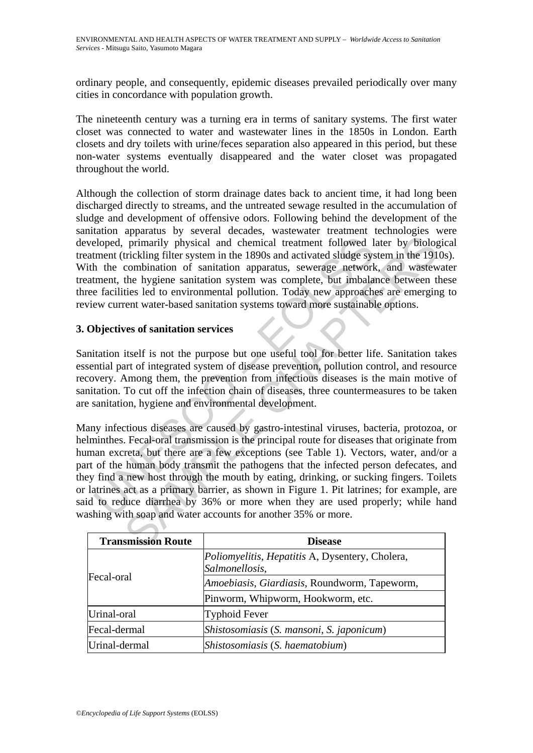ordinary people, and consequently, epidemic diseases prevailed periodically over many cities in concordance with population growth.

The nineteenth century was a turning era in terms of sanitary systems. The first water closet was connected to water and wastewater lines in the 1850s in London. Earth closets and dry toilets with urine/feces separation also appeared in this period, but these non-water systems eventually disappeared and the water closet was propagated throughout the world.

Although the collection of storm drainage dates back to ancient time, it had long been discharged directly to streams, and the untreated sewage resulted in the accumulation of sludge and development of offensive odors. Following behind the development of the sanitation apparatus by several decades, wastewater treatment technologies were developed, primarily physical and chemical treatment followed later by biological treatment (trickling filter system in the 1890s and activated sludge system in the 1910s). With the combination of sanitation apparatus, sewerage network, and wastewater treatment, the hygiene sanitation system was complete, but imbalance between these three facilities led to environmental pollution. Today new approaches are emerging to review current water-based sanitation systems toward more sustainable options.

### **3. Objectives of sanitation services**

Sanitation itself is not the purpose but one useful tool for better life. Sanitation takes essential part of integrated system of disease prevention, pollution control, and resource recovery. Among them, the prevention from infectious diseases is the main motive of sanitation. To cut off the infection chain of diseases, three countermeasures to be taken are sanitation, hygiene and environmental development.

and chemical treatment followed 1<br>
eloped, primarily physical and chemical treatment followed 1<br>
tment (trickling filter system in the 1890s and activated sludge system<br>
tment, the hygiene sanitation apparatus, sewerage ne primarily physical and chemical treatment followed later by biolog<br>trickling filter system in the 1890s and activated sludge system in the 191<br>combination of sanitation apparatus, severage network, and waster<br>the hygiene Many infectious diseases are caused by gastro-intestinal viruses, bacteria, protozoa, or helminthes. Fecal-oral transmission is the principal route for diseases that originate from human excreta, but there are a few exceptions (see Table 1). Vectors, water, and/or a part of the human body transmit the pathogens that the infected person defecates, and they find a new host through the mouth by eating, drinking, or sucking fingers. Toilets or latrines act as a primary barrier, as shown in Figure 1. Pit latrines; for example, are said to reduce diarrhea by 36% or more when they are used properly; while hand washing with soap and water accounts for another 35% or more.

| <b>Transmission Route</b> | <b>Disease</b>                                                           |
|---------------------------|--------------------------------------------------------------------------|
|                           | <i>Poliomyelitis, Hepatitis A, Dysentery, Cholera,</i><br>Salmonellosis, |
| <b>Fecal-oral</b>         | Amoebiasis, Giardiasis, Roundworm, Tapeworm,                             |
|                           | Pinworm, Whipworm, Hookworm, etc.                                        |
| Urinal-oral               | <b>Typhoid Fever</b>                                                     |
| Fecal-dermal              | Shistosomiasis (S. mansoni, S. japonicum)                                |
| Urinal-dermal             | Shistosomiasis (S. haematobium)                                          |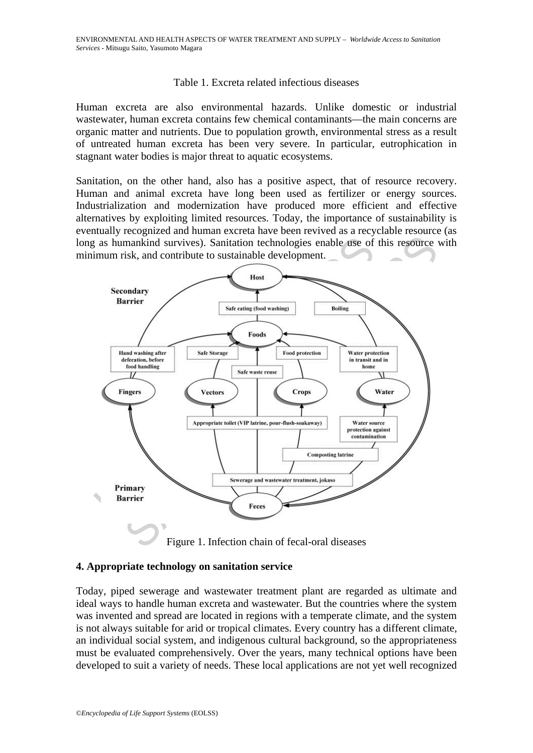#### Table 1. Excreta related infectious diseases

Human excreta are also environmental hazards. Unlike domestic or industrial wastewater, human excreta contains few chemical contaminants—the main concerns are organic matter and nutrients. Due to population growth, environmental stress as a result of untreated human excreta has been very severe. In particular, eutrophication in stagnant water bodies is major threat to aquatic ecosystems.

Sanitation, on the other hand, also has a positive aspect, that of resource recovery. Human and animal excreta have long been used as fertilizer or energy sources. Industrialization and modernization have produced more efficient and effective alternatives by exploiting limited resources. Today, the importance of sustainability is eventually recognized and human excreta have been revived as a recyclable resource (as long as humankind survives). Sanitation technologies enable use of this resource with minimum risk, and contribute to sustainable development.



Figure 1. Infection chain of fecal-oral diseases

#### **4. Appropriate technology on sanitation service**

Today, piped sewerage and wastewater treatment plant are regarded as ultimate and ideal ways to handle human excreta and wastewater. But the countries where the system was invented and spread are located in regions with a temperate climate, and the system is not always suitable for arid or tropical climates. Every country has a different climate, an individual social system, and indigenous cultural background, so the appropriateness must be evaluated comprehensively. Over the years, many technical options have been developed to suit a variety of needs. These local applications are not yet well recognized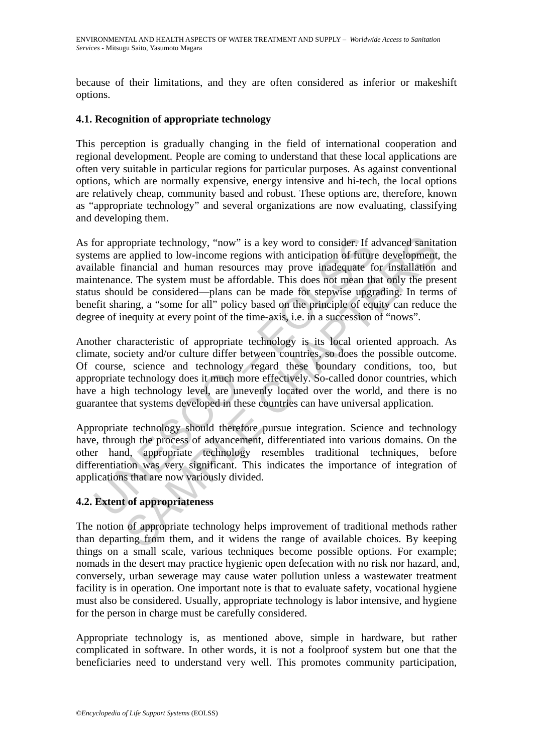because of their limitations, and they are often considered as inferior or makeshift options.

### **4.1. Recognition of appropriate technology**

This perception is gradually changing in the field of international cooperation and regional development. People are coming to understand that these local applications are often very suitable in particular regions for particular purposes. As against conventional options, which are normally expensive, energy intensive and hi-tech, the local options are relatively cheap, community based and robust. These options are, therefore, known as "appropriate technology" and several organizations are now evaluating, classifying and developing them.

for appropriate technology, "now" is a key word to consider. If a<br>ems are applied to low-income regions with anticipation of future<br>lable financial and human resources may prove inadequate for<br>thenance. The system must be ropriate technology, "now" is a key word to consider. If advanced sanita eapplied to low-income regions with anticipation of future development inancial and human resources may prove inadequate for installation c.e. The sy As for appropriate technology, "now" is a key word to consider. If advanced sanitation systems are applied to low-income regions with anticipation of future development, the available financial and human resources may prove inadequate for installation and maintenance. The system must be affordable. This does not mean that only the present status should be considered—plans can be made for stepwise upgrading. In terms of benefit sharing, a "some for all" policy based on the principle of equity can reduce the degree of inequity at every point of the time-axis, i.e. in a succession of "nows".

Another characteristic of appropriate technology is its local oriented approach. As climate, society and/or culture differ between countries, so does the possible outcome. Of course, science and technology regard these boundary conditions, too, but appropriate technology does it much more effectively. So-called donor countries, which have a high technology level, are unevenly located over the world, and there is no guarantee that systems developed in these countries can have universal application.

Appropriate technology should therefore pursue integration. Science and technology have, through the process of advancement, differentiated into various domains. On the other hand, appropriate technology resembles traditional techniques, before differentiation was very significant. This indicates the importance of integration of applications that are now variously divided.

## **4.2. Extent of appropriateness**

The notion of appropriate technology helps improvement of traditional methods rather than departing from them, and it widens the range of available choices. By keeping things on a small scale, various techniques become possible options. For example; nomads in the desert may practice hygienic open defecation with no risk nor hazard, and, conversely, urban sewerage may cause water pollution unless a wastewater treatment facility is in operation. One important note is that to evaluate safety, vocational hygiene must also be considered. Usually, appropriate technology is labor intensive, and hygiene for the person in charge must be carefully considered.

Appropriate technology is, as mentioned above, simple in hardware, but rather complicated in software. In other words, it is not a foolproof system but one that the beneficiaries need to understand very well. This promotes community participation,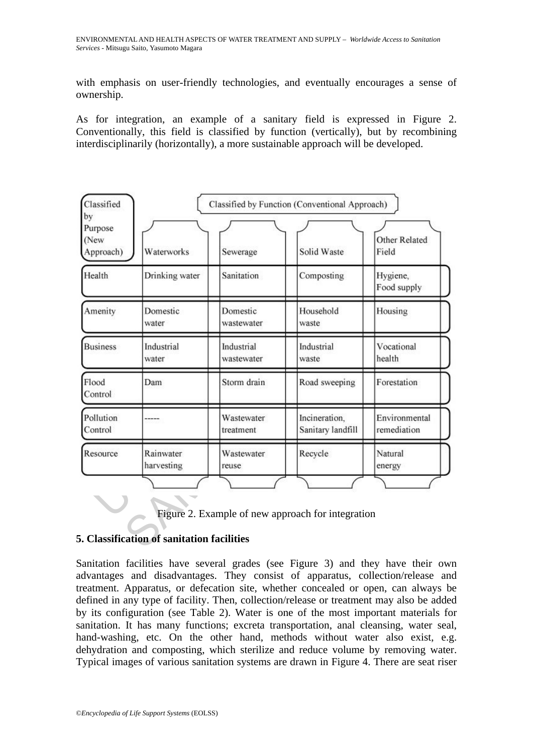with emphasis on user-friendly technologies, and eventually encourages a sense of ownership.

As for integration, an example of a sanitary field is expressed in Figure 2. Conventionally, this field is classified by function (vertically), but by recombining interdisciplinarily (horizontally), a more sustainable approach will be developed.

| by<br>Purpose        |                         | Classified by Function (Conventional Approach) |                                                   |                               |
|----------------------|-------------------------|------------------------------------------------|---------------------------------------------------|-------------------------------|
| (New<br>Approach)    | Waterworks              | Sewerage                                       | Solid Waste                                       | <b>Other Related</b><br>Field |
| Health               | Drinking water          | Sanitation                                     | Composting                                        | Hygiene,<br>Food supply       |
| Amenity              | Domestic<br>water       | Domestic<br>wastewater                         | Household<br>waste                                | Housing                       |
| <b>Business</b>      | Industrial<br>water     | Industrial<br>wastewater                       | Industrial<br>waste                               | Vocational<br>health          |
| Flood<br>Control     | Dam                     | Storm drain                                    | Road sweeping                                     | Forestation                   |
| Pollution<br>Control |                         | Wastewater<br>treatment                        | Incineration,<br>Sanitary landfill                | Environmental<br>remediation  |
| Resource             | Rainwater<br>harvesting | Wastewater<br>reuse                            | Recycle                                           | Natural<br>energy             |
|                      |                         |                                                | Figure 2. Example of new approach for integration |                               |



### **5. Classification of sanitation facilities**

Sanitation facilities have several grades (see Figure 3) and they have their own advantages and disadvantages. They consist of apparatus, collection/release and treatment. Apparatus, or defecation site, whether concealed or open, can always be defined in any type of facility. Then, collection/release or treatment may also be added by its configuration (see Table 2). Water is one of the most important materials for sanitation. It has many functions; excreta transportation, anal cleansing, water seal, hand-washing, etc. On the other hand, methods without water also exist, e.g. dehydration and composting, which sterilize and reduce volume by removing water. Typical images of various sanitation systems are drawn in Figure 4. There are seat riser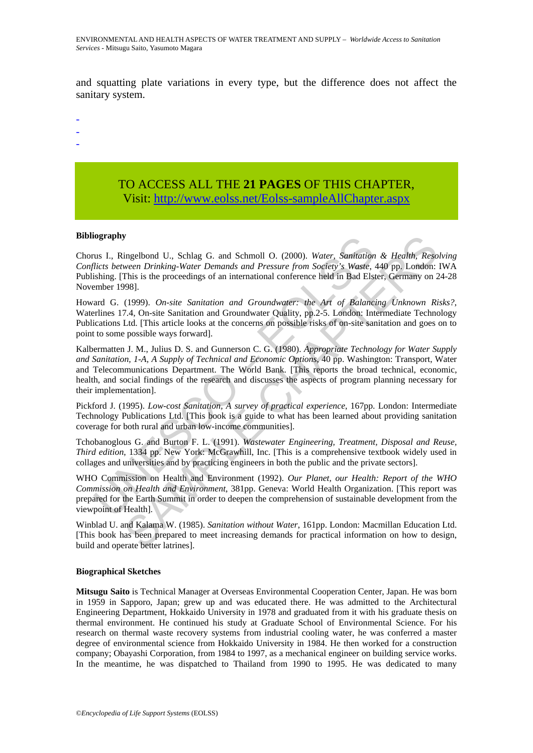and squatting plate variations in every type, but the difference does not affect the sanitary system.

- -
- -
- -

## TO ACCESS ALL THE **21 PAGES** OF THIS CHAPTER, Visit[: http://www.eolss.net/Eolss-sampleAllChapter.aspx](https://www.eolss.net/ebooklib/sc_cart.aspx?File=E2-20B-04-03)

#### **Bibliography**

Chorus I., Ringelbond U., Schlag G. and Schmoll O. (2000). *Water, Sanitation & Health, Resolving Conflicts between Drinking-Water Demands and Pressure from Society's Waste*, 440 pp. London: IWA Publishing. [This is the proceedings of an international conference held in Bad Elster, Germany on 24-28 November 1998].

Howard G. (1999). *On-site Sanitation and Groundwater: the Art of Balancing Unknown Risks?*, Waterlines 17.4, On-site Sanitation and Groundwater Quality, pp.2-5. London: Intermediate Technology Publications Ltd. [This article looks at the concerns on possible risks of on-site sanitation and goes on to point to some possible ways forward].

**tography**<br>
us I., Ringelbond U., Schlag G. and Schmoll O. (2000). *Water, Sanitation*<br>
lictics between Drinking-Water Demands and Pressure from Society's Waste,<br>
ishing. [This is the proceedings of an international confer y<br>meglbond U., Schlag G. and Schmoll O. (2000). Water, Samitation & Health, Reso<br>meare Drinking-Water Demands and Pressure from Society's Waste, 440 pealth, Reso<br>This is the proceedings of an international conference held Kalbermatten J. M., Julius D. S. and Gunnerson C. G. (1980). *Appropriate Technology for Water Supply and Sanitation, 1-A, A Supply of Technical and Economic Options*, 40 pp. Washington: Transport, Water and Telecommunications Department. The World Bank. [This reports the broad technical, economic, health, and social findings of the research and discusses the aspects of program planning necessary for their implementation].

Pickford J. (1995). *Low-cost Sanitation, A survey of practical experience*, 167pp. London: Intermediate Technology Publications Ltd. [This book is a guide to what has been learned about providing sanitation coverage for both rural and urban low-income communities].

Tchobanoglous G. and Burton F. L. (1991). *Wastewater Engineering, Treatment, Disposal and Reuse, Third edition*, 1334 pp. New York: McGrawhill, Inc. [This is a comprehensive textbook widely used in collages and universities and by practicing engineers in both the public and the private sectors].

WHO Commission on Health and Environment (1992). *Our Planet, our Health: Report of the WHO Commission on Health and Environment*, 381pp. Geneva: World Health Organization. [This report was prepared for the Earth Summit in order to deepen the comprehension of sustainable development from the viewpoint of Health].

Winblad U. and Kalama W. (1985). *Sanitation without Water*, 161pp. London: Macmillan Education Ltd. [This book has been prepared to meet increasing demands for practical information on how to design, build and operate better latrines].

#### **Biographical Sketches**

**Mitsugu Saito** is Technical Manager at Overseas Environmental Cooperation Center, Japan. He was born in 1959 in Sapporo, Japan; grew up and was educated there. He was admitted to the Architectural Engineering Department, Hokkaido University in 1978 and graduated from it with his graduate thesis on thermal environment. He continued his study at Graduate School of Environmental Science. For his research on thermal waste recovery systems from industrial cooling water, he was conferred a master degree of environmental science from Hokkaido University in 1984. He then worked for a construction company; Obayashi Corporation, from 1984 to 1997, as a mechanical engineer on building service works. In the meantime, he was dispatched to Thailand from 1990 to 1995. He was dedicated to many